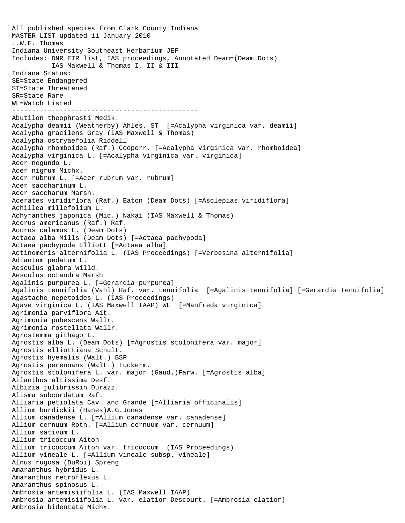All published species from Clark County Indiana MASTER LIST updated 11 January 2010 ..W.E. Thomas Indiana University Southeast Herbarium JEF Includes: DNR ETR list, IAS proceedings, Annotated Deam=(Deam Dots) IAS Maxwell & Thomas I, II & III Indiana Status: SE=State Endangered ST=State Threatened SR=State Rare WL=Watch Listed ----------------------------------------------- Abutilon theophrasti Medik. Acalypha deamii (Weatherby) Ahles. ST [=Acalypha virginica var. deamii] Acalypha gracilens Gray (IAS Maxwell & Thomas) Acalypha ostryaefolia Riddell Acalypha rhomboidea (Raf.) Cooperr. [=Acalypha virginica var. rhomboidea] Acalypha virginica L. [=Acalypha virginica var. virginica] Acer negundo L. Acer nigrum Michx. Acer rubrum L. [=Acer rubrum var. rubrum] Acer saccharinum L. Acer saccharum Marsh. Acerates viridiflora (Raf.) Eaton (Deam Dots) [=Asclepias viridiflora] Achillea millefolium L. Achyranthes japonica (Miq.) Nakai (IAS Maxwell & Thomas) Acorus americanus (Raf.) Raf. Acorus calamus L. (Deam Dots) Actaea alba Mills (Deam Dots) [=Actaea pachypoda] Actaea pachypoda Elliott [=Actaea alba] Actinomeris alternifolia L. (IAS Proceedings) [=Verbesina alternifolia] Adiantum pedatum L. Aesculus glabra Willd. Aesculus octandra Marsh Agalinis purpurea L. [=Gerardia purpurea] Agalinis tenuifolia (Vahl) Raf. var. tenuifolia [=Agalinis tenuifolia] [=Gerardia tenuifolia] Agastache nepetoides L. (IAS Proceedings) Agave virginica L. (IAS Maxwell IAAP) WL [=Manfreda virginica] Agrimonia parviflora Ait. Agrimonia pubescens Wallr. Agrimonia rostellata Wallr. Agrostemma githago L. Agrostis alba L. (Deam Dots) [=Agrostis stolonifera var. major] Agrostis elliottiana Schult. Agrostis hyemalis (Walt.) BSP Agrostis perennans (Walt.) Tuckerm. Agrostis stolonifera L. var. major (Gaud.)Farw. [=Agrostis alba] Ailanthus altissima Desf. Albizia julibrissin Durazz. Alisma subcordatum Raf. Alliaria petiolata Cav. and Grande [=Alliaria officinalis] Allium burdickii (Hanes)A.G.Jones Allium canadense L. [=Allium canadense var. canadense] Allium cernuum Roth. [=Allium cernuum var. cernuum] Allium sativum L. Allium tricoccum Aiton Allium tricoccum Aiton var. tricoccum (IAS Proceedings) Allium vineale L. [=Allium vineale subsp. vineale] Alnus rugosa (DuRoi) Spreng Amaranthus hybridus L. Amaranthus retroflexus L. Amaranthus spinosus L. Ambrosia artemisiifolia L. (IAS Maxwell IAAP) Ambrosia artemisiifolia L. var. elatior Descourt. [=Ambrosia elatior] Ambrosia bidentata Michx.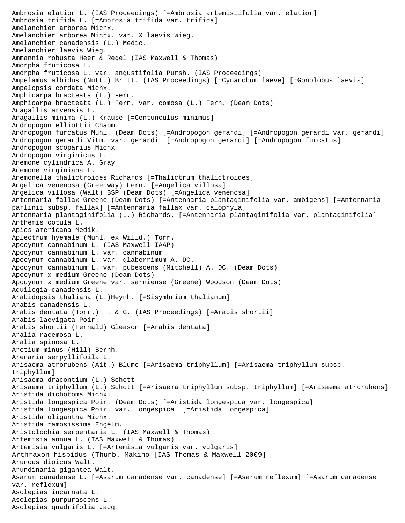Ambrosia elatior L. (IAS Proceedings) [=Ambrosia artemisiifolia var. elatior] Ambrosia trifida L. [=Ambrosia trifida var. trifida] Amelanchier arborea Michx. Amelanchier arborea Michx. var. X laevis Wieg. Amelanchier canadensis (L.) Medic. Amelanchier laevis Wieg. Ammannia robusta Heer & Regel (IAS Maxwell & Thomas) Amorpha fruticosa L. Amorpha fruticosa L. var. angustifolia Pursh. (IAS Proceedings) Ampelamus albidus (Nutt.) Britt. (IAS Proceedings) [=Cynanchum laeve] [=Gonolobus laevis] Ampelopsis cordata Michx. Amphicarpa bracteata (L.) Fern. Amphicarpa bracteata (L.) Fern. var. comosa (L.) Fern. (Deam Dots) Anagallis arvensis L. Anagallis minima (L.) Krause [=Centunculus minimus] Andropogon elliottii Chapm. Andropogon furcatus Muhl. (Deam Dots) [=Andropogon gerardi] [=Andropogon gerardi var. gerardi] Andropogon gerardi Vitm. var. gerardi [=Andropogon gerardi] [=Andropogon furcatus] Andropogon scoparius Michx. Andropogon virginicus L. Anemone cylindrica A. Gray Anemone virginiana L. Anemonella thalictroides Richards [=Thalictrum thalictroides] Angelica venenosa (Greenway) Fern. [=Angelica villosa] Angelica villosa (Walt) BSP (Deam Dots) [=Angelica venenosa] Antennaria fallax Greene (Deam Dots) [=Antennaria plantaginifolia var. ambigens] [=Antennaria parlinii subsp. fallax] [=Antennaria fallax var. calophyla] Antennaria plantaginifolia (L.) Richards. [=Antennaria plantaginifolia var. plantaginifolia] Anthemis cotula L. Apios americana Medik. Aplectrum hyemale (Muhl. ex Willd.) Torr. Apocynum cannabinum L. (IAS Maxwell IAAP) Apocynum cannabinum L. var. cannabinum Apocynum cannabinum L. var. glaberrimum A. DC. Apocynum cannabinum L. var. pubescens (Mitchell) A. DC. (Deam Dots) Apocynum x medium Greene (Deam Dots) Apocynum x medium Greene var. sarniense (Greene) Woodson (Deam Dots) Aquilegia canadensis L. Arabidopsis thaliana (L.)Heynh. [=Sisymbrium thalianum] Arabis canadensis L. Arabis dentata (Torr.) T. & G. (IAS Proceedings) [=Arabis shortii] Arabis laevigata Poir. Arabis shortii (Fernald) Gleason [=Arabis dentata] Aralia racemosa L. Aralia spinosa L. Arctium minus (Hill) Bernh. Arenaria serpyllifoila L. Arisaema atrorubens (Ait.) Blume [=Arisaema triphyllum] [=Arisaema triphyllum subsp. triphyllum] Arisaema dracontium (L.) Schott Arisaema triphyllum (L.) Schott [=Arisaema triphyllum subsp. triphyllum] [=Arisaema atrorubens] Aristida dichotoma Michx. Aristida longespica Poir. (Deam Dots) [=Aristida longespica var. longespica] Aristida longespica Poir. var. longespica [=Aristida longespica] Aristida oligantha Michx. Aristida ramosissima Engelm. Aristolochia serpentaria L. (IAS Maxwell & Thomas) Artemisia annua L. (IAS Maxwell & Thomas) Artemisia vulgaris L. [=Artemisia vulgaris var. vulgaris] Arthraxon hispidus (Thunb. Makino [IAS Thomas & Maxwell 2009] Aruncus dioicus Walt. Arundinaria gigantea Walt. Asarum canadense L. [=Asarum canadense var. canadense] [=Asarum reflexum] [=Asarum canadense var. reflexum] Asclepias incarnata L. Asclepias purpurascens L. Asclepias quadrifolia Jacq.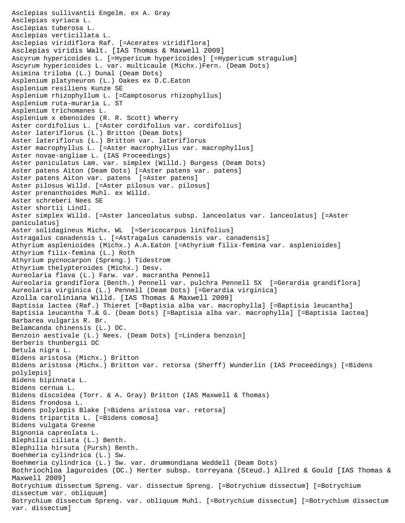Asclepias sullivantii Engelm. ex A. Gray Asclepias syriaca L. Asclepias tuberosa L. Asclepias verticillata L. Asclepias viridiflora Raf. [=Acerates viridiflora] Asclepias viridis Walt. [IAS Thomas & Maxwell 2009] Ascyrum hypericoides L. [=Hypericum hypericoides] [=Hypericum stragulum] Ascyrum hypericoides L. var. multicaule (Michx.)Fern. (Deam Dots) Asimina triloba (L.) Dunal (Deam Dots) Asplenium platyneuron (L.) Oakes ex D.C.Eaton Asplenium resiliens Kunze SE Asplenium rhizophyllum L. [=Camptosorus rhizophyllus] Asplenium ruta-muraria L. ST Asplenium trichomanes L. Asplenium x ebenoides (R. R. Scott) Wherry Aster cordifolius L. [=Aster cordifolius var. cordifolius] Aster lateriflorus (L.) Britton (Deam Dots) Aster lateriflorus (L.) Britton var. lateriflorus Aster macrophyllus L. [=Aster macrophyllus var. macrophyllus] Aster novae-angliae L. (IAS Proceedings) Aster paniculatus Lam. var. simplex (Willd.) Burgess (Deam Dots) Aster patens Aiton (Deam Dots) [=Aster patens var. patens] Aster patens Aiton var. patens [=Aster patens] Aster pilosus Willd. [=Aster pilosus var. pilosus] Aster prenanthoides Muhl. ex Willd. Aster schreberi Nees SE Aster shortii Lindl. Aster simplex Willd. [=Aster lanceolatus subsp. lanceolatus var. lanceolatus] [=Aster paniculatus] Aster solidagineus Michx. WL [=Sericocarpus linifolius] Astragalus canadensis L. [=Astragalus canadensis var. canadensis] Athyrium asplenioides (Michx.) A.A.Eaton [=Athyrium filix-femina var. asplenioides] Athyrium filix-femina (L.) Roth Athyrium pycnocarpon (Spreng.) Tidestrom Athyrium thelypteroides (Michx.) Desv. Aureolaria flava (L.) Farw. var. macrantha Pennell Aureolaria grandiflora (Benth.) Pennell var. pulchra Pennell SX [=Gerardia grandiflora] Aureolaria virginica (L.) Pennell (Deam Dots) [=Gerardia virginica] Azolla caroliniana Willd. [IAS Thomas & Maxwell 2009] Baptisia lactea (Raf.) Thieret [=Baptisia alba var. macrophylla] [=Baptisia leucantha] Baptisia leucantha T.& G. (Deam Dots) [=Baptisia alba var. macrophylla] [=Baptisia lactea] Barbarea vulgaris R. Br. Belamcanda chinensis (L.) DC. Benzoin aestivale (L.) Nees. (Deam Dots) [=Lindera benzoin] Berberis thunbergii DC Betula nigra L. Bidens aristosa (Michx.) Britton Bidens aristosa (Michx.) Britton var. retorsa (Sherff) Wunderlin (IAS Proceedings) [=Bidens polylepis] Bidens bipinnata L. Bidens cernua L. Bidens discoidea (Torr. & A. Gray) Britton (IAS Maxwell & Thomas) Bidens frondosa L. Bidens polylepis Blake [=Bidens aristosa var. retorsa] Bidens tripartita L. [=Bidens comosa] Bidens vulgata Greene Bignonia capreolata L. Blephilia ciliata (L.) Benth. Blephilia hirsuta (Pursh) Benth. Boehmeria cylindrica (L.) Sw. Boehmeria cylindrica (L.) Sw. var. drummondiana Weddell (Deam Dots) Bothriochloa laguroides (DC.) Herter subsp. torreyana (Steud.) Allred & Gould [IAS Thomas & Maxwell 2009] Botrychium dissectum Spreng. var. dissectum Spreng. [=Botrychium dissectum] [=Botrychium dissectum var. obliquum] Botrychium dissectum Spreng. var. obliquum Muhl. [=Botrychium dissectum] [=Botrychium dissectum var. dissectum]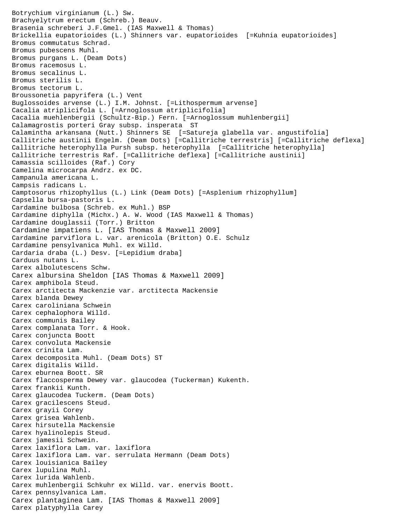Botrychium virginianum (L.) Sw. Brachyelytrum erectum (Schreb.) Beauv. Brasenia schreberi J.F.Gmel. (IAS Maxwell & Thomas) Brickellia eupatorioides (L.) Shinners var. eupatorioides [=Kuhnia eupatorioides] Bromus commutatus Schrad. Bromus pubescens Muhl. Bromus purgans L. (Deam Dots) Bromus racemosus L. Bromus secalinus L. Bromus sterilis L. Bromus tectorum L. Broussonetia papyrifera (L.) Vent Buglossoides arvense (L.) I.M. Johnst. [=Lithospermum arvense] Cacalia atriplicifola L. [=Arnoglossum atriplicifolia] Cacalia muehlenbergii (Schultz-Bip.) Fern. [=Arnoglossum muhlenbergii] Calamagrostis porteri Gray subsp. insperata ST Calamintha arkansana (Nutt.) Shinners SE [=Satureja glabella var. angustifolia] Callitriche austinii Engelm. (Deam Dots) [=Callitriche terrestris] [=Callitriche deflexa] Callitriche heterophylla Pursh subsp. heterophylla [=Callitriche heterophylla] Callitriche terrestris Raf. [=Callitriche deflexa] [=Callitriche austinii] Camassia scilloides (Raf.) Cory Camelina microcarpa Andrz. ex DC. Campanula americana L. Campsis radicans L. Camptosorus rhizophyllus (L.) Link (Deam Dots) [=Asplenium rhizophyllum] Capsella bursa-pastoris L. Cardamine bulbosa (Schreb. ex Muhl.) BSP Cardamine diphylla (Michx.) A. W. Wood (IAS Maxwell & Thomas) Cardamine douglassii (Torr.) Britton Cardamine impatiens L. [IAS Thomas & Maxwell 2009] Cardamine parviflora L. var. arenicola (Britton) O.E. Schulz Cardamine pensylvanica Muhl. ex Willd. Cardaria draba (L.) Desv. [=Lepidium draba] Carduus nutans L. Carex albolutescens Schw. Carex albursina Sheldon [IAS Thomas & Maxwell 2009] Carex amphibola Steud. Carex arctitecta Mackenzie var. arctitecta Mackensie Carex blanda Dewey Carex caroliniana Schwein Carex cephalophora Willd. Carex communis Bailey Carex complanata Torr. & Hook. Carex conjuncta Boott Carex convoluta Mackensie Carex crinita Lam. Carex decomposita Muhl. (Deam Dots) ST Carex digitalis Willd. Carex eburnea Boott. SR Carex flaccosperma Dewey var. glaucodea (Tuckerman) Kukenth. Carex frankii Kunth. Carex glaucodea Tuckerm. (Deam Dots) Carex gracilescens Steud. Carex grayii Corey Carex grisea Wahlenb. Carex hirsutella Mackensie Carex hyalinolepis Steud. Carex jamesii Schwein. Carex laxiflora Lam. var. laxiflora Carex laxiflora Lam. var. serrulata Hermann (Deam Dots) Carex louisianica Bailey Carex lupulina Muhl. Carex lurida Wahlenb. Carex muhlenbergii Schkuhr ex Willd. var. enervis Boott. Carex pennsylvanica Lam. Carex plantaginea Lam. [IAS Thomas & Maxwell 2009] Carex platyphylla Carey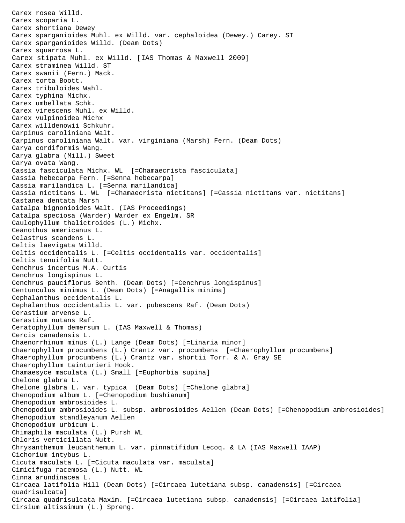Carex rosea Willd. Carex scoparia L. Carex shortiana Dewey Carex sparganioides Muhl. ex Willd. var. cephaloidea (Dewey.) Carey. ST Carex sparganioides Willd. (Deam Dots) Carex squarrosa L. Carex stipata Muhl. ex Willd. [IAS Thomas & Maxwell 2009] Carex straminea Willd. ST Carex swanii (Fern.) Mack. Carex torta Boott. Carex tribuloides Wahl. Carex typhina Michx. Carex umbellata Schk. Carex virescens Muhl. ex Willd. Carex vulpinoidea Michx Carex willdenowii Schkuhr. Carpinus caroliniana Walt. Carpinus caroliniana Walt. var. virginiana (Marsh) Fern. (Deam Dots) Carya cordiformis Wang. Carya glabra (Mill.) Sweet Carya ovata Wang. Cassia fasciculata Michx. WL [=Chamaecrista fasciculata] Cassia hebecarpa Fern. [=Senna hebecarpa] Cassia marilandica L. [=Senna marilandica] Cassia nictitans L. WL [=Chamaecrista nictitans] [=Cassia nictitans var. nictitans] Castanea dentata Marsh Catalpa bignonioides Walt. (IAS Proceedings) Catalpa speciosa (Warder) Warder ex Engelm. SR Caulophyllum thalictroides (L.) Michx. Ceanothus americanus L. Celastrus scandens L. Celtis laevigata Willd. Celtis occidentalis L. [=Celtis occidentalis var. occidentalis] Celtis tenuifolia Nutt. Cenchrus incertus M.A. Curtis Cenchrus longispinus L. Cenchrus pauciflorus Benth. (Deam Dots) [=Cenchrus longispinus] Centunculus minimus L. (Deam Dots) [=Anagallis minima] Cephalanthus occidentalis L. Cephalanthus occidentalis L. var. pubescens Raf. (Deam Dots) Cerastium arvense L. Cerastium nutans Raf. Ceratophyllum demersum L. (IAS Maxwell & Thomas) Cercis canadensis L. Chaenorrhinum minus (L.) Lange (Deam Dots) [=Linaria minor] Chaerophyllum procumbens (L.) Crantz var. procumbens [=Chaerophyllum procumbens] Chaerophyllum procumbens (L.) Crantz var. shortii Torr. & A. Gray SE Chaerophyllum tainturieri Hook. Chamaesyce maculata (L.) Small [=Euphorbia supina] Chelone glabra L. Chelone glabra L. var. typica (Deam Dots) [=Chelone glabra] Chenopodium album L. [=Chenopodium bushianum] Chenopodium ambrosioides L. Chenopodium ambrosioides L. subsp. ambrosioides Aellen (Deam Dots) [=Chenopodium ambrosioides] Chenopodium standleyanum Aellen Chenopodium urbicum L. Chimaphila maculata (L.) Pursh WL Chloris verticillata Nutt. Chrysanthemum leucanthemum L. var. pinnatifidum Lecoq. & LA (IAS Maxwell IAAP) Cichorium intybus L. Cicuta maculata L. [=Cicuta maculata var. maculata] Cimicifuga racemosa (L.) Nutt. WL Cinna arundinacea L. Circaea latifolia Hill (Deam Dots) [=Circaea lutetiana subsp. canadensis] [=Circaea quadrisulcata] Circaea quadrisulcata Maxim. [=Circaea lutetiana subsp. canadensis] [=Circaea latifolia] Cirsium altissimum (L.) Spreng.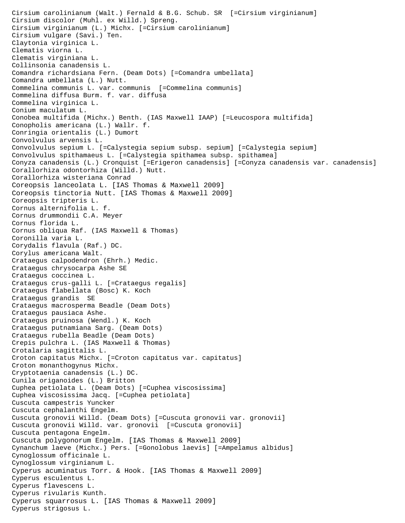Cirsium carolinianum (Walt.) Fernald & B.G. Schub. SR [=Cirsium virginianum] Cirsium discolor (Muhl. ex Willd.) Spreng. Cirsium virginianum (L.) Michx. [=Cirsium carolinianum] Cirsium vulgare (Savi.) Ten. Claytonia virginica L. Clematis viorna L. Clematis virginiana L. Collinsonia canadensis L. Comandra richardsiana Fern. (Deam Dots) [=Comandra umbellata] Comandra umbellata (L.) Nutt. Commelina communis L. var. communis [=Commelina communis] Commelina diffusa Burm. f. var. diffusa Commelina virginica L. Conium maculatum L. Conobea multifida (Michx.) Benth. (IAS Maxwell IAAP) [=Leucospora multifida] Conopholis americana (L.) Wallr. f. Conringia orientalis (L.) Dumort Convolvulus arvensis L. Convolvulus sepium L. [=Calystegia sepium subsp. sepium] [=Calystegia sepium] Convolvulus spithamaeus L. [=Calystegia spithamea subsp. spithamea] Conyza canadensis (L.) Cronquist [=Erigeron canadensis] [=Conyza canadensis var. canadensis] Corallorhiza odontorhiza (Willd.) Nutt. Corallorhiza wisteriana Conrad Coreopsis lanceolata L. [IAS Thomas & Maxwell 2009] Coreopsis tinctoria Nutt. [IAS Thomas & Maxwell 2009] Coreopsis tripteris L. Cornus alternifolia L. f. Cornus drummondii C.A. Meyer Cornus florida L. Cornus obliqua Raf. (IAS Maxwell & Thomas) Coronilla varia L. Corydalis flavula (Raf.) DC. Corylus americana Walt. Crataegus calpodendron (Ehrh.) Medic. Crataegus chrysocarpa Ashe SE Crataegus coccinea L. Crataegus crus-galli L. [=Crataegus regalis] Crataegus flabellata (Bosc) K. Koch Crataegus grandis SE Crataegus macrosperma Beadle (Deam Dots) Crataegus pausiaca Ashe. Crataegus pruinosa (Wendl.) K. Koch Crataegus putnamiana Sarg. (Deam Dots) Crataegus rubella Beadle (Deam Dots) Crepis pulchra L. (IAS Maxwell & Thomas) Crotalaria sagittalis L. Croton capitatus Michx. [=Croton capitatus var. capitatus] Croton monanthogynus Michx. Cryptotaenia canadensis (L.) DC. Cunila origanoides (L.) Britton Cuphea petiolata L. (Deam Dots) [=Cuphea viscosissima] Cuphea viscosissima Jacq. [=Cuphea petiolata] Cuscuta campestris Yuncker Cuscuta cephalanthi Engelm. Cuscuta gronovii Willd. (Deam Dots) [=Cuscuta gronovii var. gronovii] Cuscuta gronovii Willd. var. gronovii [=Cuscuta gronovii] Cuscuta pentagona Engelm. Cuscuta polygonorum Engelm. [IAS Thomas & Maxwell 2009] Cynanchum laeve (Michx.) Pers. [=Gonolobus laevis] [=Ampelamus albidus] Cynoglossum officinale L. Cynoglossum virginianum L. Cyperus acuminatus Torr. & Hook. [IAS Thomas & Maxwell 2009] Cyperus esculentus L. Cyperus flavescens L. Cyperus rivularis Kunth. Cyperus squarrosus L. [IAS Thomas & Maxwell 2009] Cyperus strigosus L.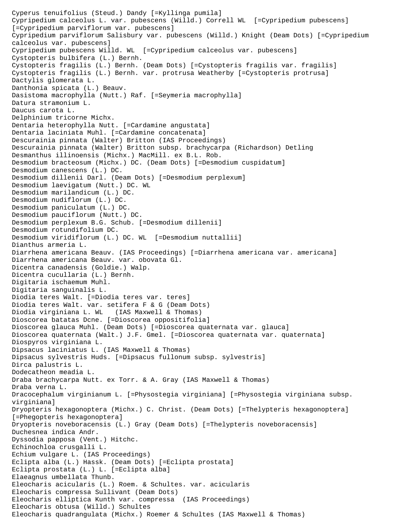Cyperus tenuifolius (Steud.) Dandy [=Kyllinga pumila] Cypripedium calceolus L. var. pubescens (Willd.) Correll WL [=Cypripedium pubescens] [=Cypripedium parviflorum var. pubescens] Cypripedium parviflorum Salisbury var. pubescens (Willd.) Knight (Deam Dots) [=Cypripedium calceolus var. pubescens] Cypripedium pubescens Willd. WL [=Cypripedium calceolus var. pubescens] Cystopteris bulbifera (L.) Bernh. Cystopteris fragilis (L.) Bernh. (Deam Dots) [=Cystopteris fragilis var. fragilis] Cystopteris fragilis (L.) Bernh. var. protrusa Weatherby [=Cystopteris protrusa] Dactylis glomerata L. Danthonia spicata (L.) Beauv. Dasistoma macrophylla (Nutt.) Raf. [=Seymeria macrophylla] Datura stramonium L. Daucus carota L. Delphinium tricorne Michx. Dentaria heterophylla Nutt. [=Cardamine angustata] Dentaria laciniata Muhl. [=Cardamine concatenata] Descurainia pinnata (Walter) Britton (IAS Proceedings) Descurainia pinnata (Walter) Britton subsp. brachycarpa (Richardson) Detling Desmanthus illinoensis (Michx.) MacMill. ex B.L. Rob. Desmodium bracteosum (Michx.) DC. (Deam Dots) [=Desmodium cuspidatum] Desmodium canescens (L.) DC. Desmodium dillenii Darl. (Deam Dots) [=Desmodium perplexum] Desmodium laevigatum (Nutt.) DC. WL Desmodium marilandicum (L.) DC. Desmodium nudiflorum (L.) DC. Desmodium paniculatum (L.) DC. Desmodium pauciflorum (Nutt.) DC. Desmodium perplexum B.G. Schub. [=Desmodium dillenii] Desmodium rotundifolium DC. Desmodium viridiflorum (L.) DC. WL [=Desmodium nuttallii] Dianthus armeria L. Diarrhena americana Beauv. (IAS Proceedings) [=Diarrhena americana var. americana] Diarrhena americana Beauv. var. obovata Gl. Dicentra canadensis (Goldie.) Walp. Dicentra cucullaria (L.) Bernh. Digitaria ischaemum Muhl. Digitaria sanguinalis L. Diodia teres Walt. [=Diodia teres var. teres] Diodia teres Walt. var. setifera F & G (Deam Dots) Diodia virginiana L. WL (IAS Maxwell & Thomas) Dioscorea batatas Dcne. [=Dioscorea oppositifolia] Dioscorea glauca Muhl. (Deam Dots) [=Dioscorea quaternata var. glauca] Dioscorea quaternata (Walt.) J.F. Gmel. [=Dioscorea quaternata var. quaternata] Diospyros virginiana L. Dipsacus laciniatus L. (IAS Maxwell & Thomas) Dipsacus sylvestris Huds. [=Dipsacus fullonum subsp. sylvestris] Dirca palustris L. Dodecatheon meadia L. Draba brachycarpa Nutt. ex Torr. & A. Gray (IAS Maxwell & Thomas) Draba verna L. Dracocephalum virginianum L. [=Physostegia virginiana] [=Physostegia virginiana subsp. virginiana] Dryopteris hexagonoptera (Michx.) C. Christ. (Deam Dots) [=Thelypteris hexagonoptera] [=Phegopteris hexagonoptera] Dryopteris noveboracensis (L.) Gray (Deam Dots) [=Thelypteris noveboracensis] Duchesnea indica Andr. Dyssodia papposa (Vent.) Hitchc. Echinochloa crusgalli L. Echium vulgare L. (IAS Proceedings) Eclipta alba (L.) Hassk. (Deam Dots) [=Eclipta prostata] Eclipta prostata (L.) L. [=Eclipta alba] Elaeagnus umbellata Thunb. Eleocharis acicularis (L.) Roem. & Schultes. var. acicularis Eleocharis compressa Sullivant (Deam Dots) Eleocharis elliptica Kunth var. compressa (IAS Proceedings) Eleocharis obtusa (Willd.) Schultes Eleocharis quadrangulata (Michx.) Roemer & Schultes (IAS Maxwell & Thomas)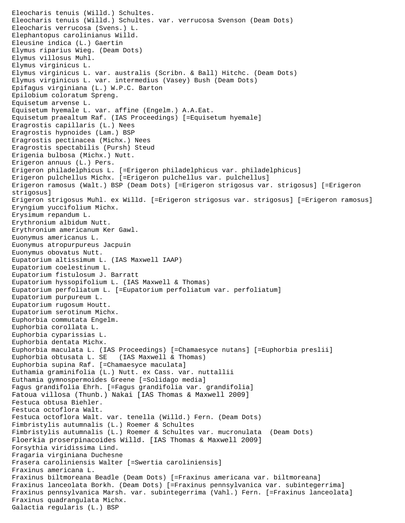```
Eleocharis tenuis (Willd.) Schultes.
Eleocharis tenuis (Willd.) Schultes. var. verrucosa Svenson (Deam Dots)
Eleocharis verrucosa (Svens.) L.
Elephantopus carolinianus Willd.
Eleusine indica (L.) Gaertin
Elymus riparius Wieg. (Deam Dots)
Elymus villosus Muhl.
Elymus virginicus L.
Elymus virginicus L. var. australis (Scribn. & Ball) Hitchc. (Deam Dots)
Elymus virginicus L. var. intermedius (Vasey) Bush (Deam Dots)
Epifagus virginiana (L.) W.P.C. Barton
Epilobium coloratum Spreng.
Equisetum arvense L.
Equisetum hyemale L. var. affine (Engelm.) A.A.Eat.
Equisetum praealtum Raf. (IAS Proceedings) [=Equisetum hyemale]
Eragrostis capillaris (L.) Nees
Eragrostis hypnoides (Lam.) BSP
Eragrostis pectinacea (Michx.) Nees
Eragrostis spectabilis (Pursh) Steud
Erigenia bulbosa (Michx.) Nutt.
Erigeron annuus (L.) Pers.
Erigeron philadelphicus L. [=Erigeron philadelphicus var. philadelphicus]
Erigeron pulchellus Michx. [=Erigeron pulchellus var. pulchellus]
Erigeron ramosus (Walt.) BSP (Deam Dots) [=Erigeron strigosus var. strigosus] [=Erigeron 
strigosus]
Erigeron strigosus Muhl. ex Willd. [=Erigeron strigosus var. strigosus] [=Erigeron ramosus]
Eryngium yuccifolium Michx.
Erysimum repandum L.
Erythronium albidum Nutt.
Erythronium americanum Ker Gawl.
Euonymus americanus L.
Euonymus atropurpureus Jacpuin
Euonymus obovatus Nutt.
Eupatorium altissimum L. (IAS Maxwell IAAP)
Eupatorium coelestinum L.
Eupatorium fistulosum J. Barratt
Eupatorium hyssopifolium L. (IAS Maxwell & Thomas)
Eupatorium perfoliatum L. [=Eupatorium perfoliatum var. perfoliatum]
Eupatorium purpureum L.
Eupatorium rugosum Houtt.
Eupatorium serotinum Michx.
Euphorbia commutata Engelm.
Euphorbia corollata L.
Euphorbia cyparissias L.
Euphorbia dentata Michx.
Euphorbia maculata L. (IAS Proceedings) [=Chamaesyce nutans] [=Euphorbia preslii]<br>Euphorbia obtusata L. SE (IAS Maxwell & Thomas)
Euphorbia obtusata L. SE
Euphorbia supina Raf. [=Chamaesyce maculata]
Euthamia graminifolia (L.) Nutt. ex Cass. var. nuttallii
Euthamia gymnospermoides Greene [=Solidago media]
Fagus grandifolia Ehrh. [=Fagus grandifolia var. grandifolia]
Fatoua villosa (Thunb.) Nakai [IAS Thomas & Maxwell 2009]
Festuca obtusa Biehler.
Festuca octoflora Walt.
Festuca octoflora Walt. var. tenella (Willd.) Fern. (Deam Dots)
Fimbristylis autumnalis (L.) Roemer & Schultes
Fimbristylis autumnalis (L.) Roemer & Schultes var. mucronulata (Deam Dots)
Floerkia proserpinacoides Willd. [IAS Thomas & Maxwell 2009]
Forsythia viridissima Lind.
Fragaria virginiana Duchesne
Frasera caroliniensis Walter [=Swertia caroliniensis]
Fraxinus americana L.
Fraxinus biltmoreana Beadle (Deam Dots) [=Fraxinus americana var. biltmoreana]
Fraxinus lanceolata Borkh. (Deam Dots) [=Fraxinus pennsylvanica var. subintegerrima]
Fraxinus pennsylvanica Marsh. var. subintegerrima (Vahl.) Fern. [=Fraxinus lanceolata]
Fraxinus quadrangulata Michx.
Galactia regularis (L.) BSP
```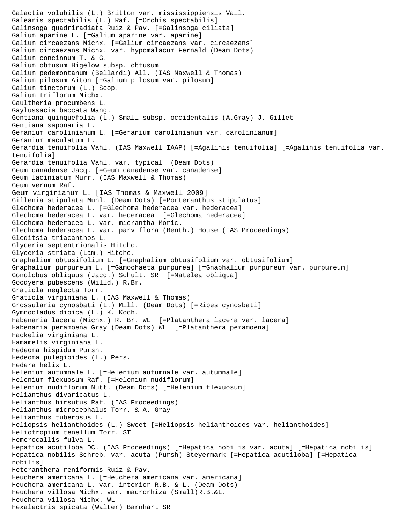Galactia volubilis (L.) Britton var. mississippiensis Vail. Galearis spectabilis (L.) Raf. [=Orchis spectabilis] Galinsoga quadriradiata Ruiz & Pav. [=Galinsoga ciliata] Galium aparine L. [=Galium aparine var. aparine] Galium circaezans Michx. [=Galium circaezans var. circaezans] Galium circaezans Michx. var. hypomalacum Fernald (Deam Dots) Galium concinnum T. & G. Galium obtusum Bigelow subsp. obtusum Galium pedemontanum (Bellardi) All. (IAS Maxwell & Thomas) Galium pilosum Aiton [=Galium pilosum var. pilosum] Galium tinctorum (L.) Scop. Galium triflorum Michx. Gaultheria procumbens L. Gaylussacia baccata Wang. Gentiana quinquefolia (L.) Small subsp. occidentalis (A.Gray) J. Gillet Gentiana saponaria L. Geranium carolinianum L. [=Geranium carolinianum var. carolinianum] Geranium maculatum L. Gerardia tenuifolia Vahl. (IAS Maxwell IAAP) [=Agalinis tenuifolia] [=Agalinis tenuifolia var. tenuifolia] Gerardia tenuifolia Vahl. var. typical (Deam Dots) Geum canadense Jacq. [=Geum canadense var. canadense] Geum laciniatum Murr. (IAS Maxwell & Thomas) Geum vernum Raf. Geum virginianum L. [IAS Thomas & Maxwell 2009] Gillenia stipulata Muhl. (Deam Dots) [=Porteranthus stipulatus] Glechoma hederacea L. [=Glechoma hederacea var. hederacea] Glechoma hederacea L. var. hederacea [=Glechoma hederacea] Glechoma hederacea L. var. micrantha Moric. Glechoma hederacea L. var. parviflora (Benth.) House (IAS Proceedings) Gleditsia triacanthos L. Glyceria septentrionalis Hitchc. Glyceria striata (Lam.) Hitchc. Gnaphalium obtusifolium L. [=Gnaphalium obtusifolium var. obtusifolium] Gnaphalium purpureum L. [=Gamochaeta purpurea] [=Gnaphalium purpureum var. purpureum] Gonolobus obliquus (Jacq.) Schult. SR [=Matelea obliqua] Goodyera pubescens (Willd.) R.Br. Gratiola neglecta Torr. Gratiola virginiana L. (IAS Maxwell & Thomas) Grossularia cynosbati (L.) Mill. (Deam Dots) [=Ribes cynosbati] Gymnocladus dioica (L.) K. Koch. Habenaria lacera (Michx.) R. Br. WL [=Platanthera lacera var. lacera] Habenaria peramoena Gray (Deam Dots) WL [=Platanthera peramoena] Hackelia virginiana L. Hamamelis virginiana L. Hedeoma hispidum Pursh. Hedeoma pulegioides (L.) Pers. Hedera helix L. Helenium autumnale L. [=Helenium autumnale var. autumnale] Helenium flexuosum Raf. [=Helenium nudiflorum] Helenium nudiflorum Nutt. (Deam Dots) [=Helenium flexuosum] Helianthus divaricatus L. Helianthus hirsutus Raf. (IAS Proceedings) Helianthus microcephalus Torr. & A. Gray Helianthus tuberosus L. Heliopsis helianthoides (L.) Sweet [=Heliopsis helianthoides var. helianthoides] Heliotropium tenellum Torr. ST Hemerocallis fulva L. Hepatica acutiloba DC. (IAS Proceedings) [=Hepatica nobilis var. acuta] [=Hepatica nobilis] Hepatica nobilis Schreb. var. acuta (Pursh) Steyermark [=Hepatica acutiloba] [=Hepatica nobilis] Heteranthera reniformis Ruiz & Pav. Heuchera americana L. [=Heuchera americana var. americana] Heuchera americana L. var. interior R.B. & L. (Deam Dots) Heuchera villosa Michx. var. macrorhiza (Small)R.B.&L. Heuchera villosa Michx. WL Hexalectris spicata (Walter) Barnhart SR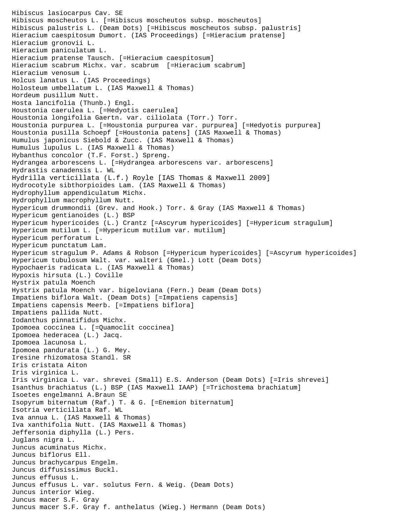Hibiscus lasiocarpus Cav. SE Hibiscus moscheutos L. [=Hibiscus moscheutos subsp. moscheutos] Hibiscus palustris L. (Deam Dots) [=Hibiscus moscheutos subsp. palustris] Hieracium caespitosum Dumort. (IAS Proceedings) [=Hieracium pratense] Hieracium gronovii L. Hieracium paniculatum L. Hieracium pratense Tausch. [=Hieracium caespitosum] Hieracium scabrum Michx. var. scabrum [=Hieracium scabrum] Hieracium venosum L. Holcus lanatus L. (IAS Proceedings) Holosteum umbellatum L. (IAS Maxwell & Thomas) Hordeum pusillum Nutt. Hosta lancifolia (Thunb.) Engl. Houstonia caerulea L. [=Hedyotis caerulea] Houstonia longifolia Gaertn. var. ciliolata (Torr.) Torr. Houstonia purpurea L. [=Houstonia purpurea var. purpurea] [=Hedyotis purpurea] Houstonia pusilla Schoepf [=Houstonia patens] (IAS Maxwell & Thomas) Humulus japonicus Siebold & Zucc. (IAS Maxwell & Thomas) Humulus lupulus L. (IAS Maxwell & Thomas) Hybanthus concolor (T.F. Forst.) Spreng. Hydrangea arborescens L. [=Hydrangea arborescens var. arborescens] Hydrastis canadensis L. WL Hydrilla verticillata (L.f.) Royle [IAS Thomas & Maxwell 2009] Hydrocotyle sibthorpioides Lam. (IAS Maxwell & Thomas) Hydrophyllum appendiculatum Michx. Hydrophyllum macrophyllum Nutt. Hypericum drummondii (Grev. and Hook.) Torr. & Gray (IAS Maxwell & Thomas) Hypericum gentianoides (L.) BSP Hypericum hypericoides (L.) Crantz [=Ascyrum hypericoides] [=Hypericum stragulum] Hypericum mutilum L. [=Hypericum mutilum var. mutilum] Hypericum perforatum L. Hypericum punctatum Lam. Hypericum stragulum P. Adams & Robson [=Hypericum hypericoides] [=Ascyrum hypericoides] Hypericum tubulosum Walt. var. walteri (Gmel.) Lott (Deam Dots) Hypochaeris radicata L. (IAS Maxwell & Thomas) Hypoxis hirsuta (L.) Coville Hystrix patula Moench Hystrix patula Moench var. bigeloviana (Fern.) Deam (Deam Dots) Impatiens biflora Walt. (Deam Dots) [=Impatiens capensis] Impatiens capensis Meerb. [=Impatiens biflora] Impatiens pallida Nutt. Iodanthus pinnatifidus Michx. Ipomoea coccinea L. [=Quamoclit coccinea] Ipomoea hederacea (L.) Jacq. Ipomoea lacunosa L. Ipomoea pandurata (L.) G. Mey. Iresine rhizomatosa Standl. SR Iris cristata Aiton Iris virginica L. Iris virginica L. var. shrevei (Small) E.S. Anderson (Deam Dots) [=Iris shrevei] Isanthus brachiatus (L.) BSP (IAS Maxwell IAAP) [=Trichostema brachiatum] Isoetes engelmanni A.Braun SE Isopyrum biternatum (Raf.) T. & G. [=Enemion biternatum] Isotria verticillata Raf. WL Iva annua L. (IAS Maxwell & Thomas) Iva xanthifolia Nutt. (IAS Maxwell & Thomas) Jeffersonia diphylla (L.) Pers. Juglans nigra L. Juncus acuminatus Michx. Juncus biflorus Ell. Juncus brachycarpus Engelm. Juncus diffusissimus Buckl. Juncus effusus L. Juncus effusus L. var. solutus Fern. & Weig. (Deam Dots) Juncus interior Wieg. Juncus macer S.F. Gray Juncus macer S.F. Gray f. anthelatus (Wieg.) Hermann (Deam Dots)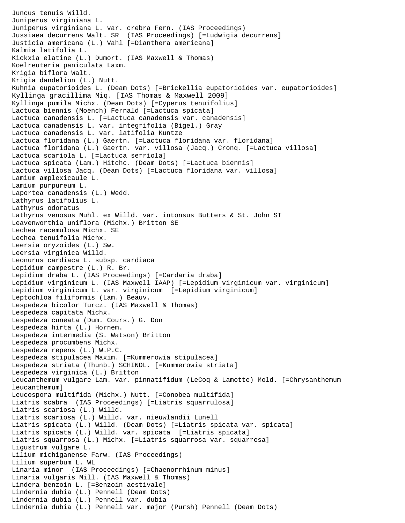```
Juncus tenuis Willd.
Juniperus virginiana L.
Juniperus virginiana L. var. crebra Fern. (IAS Proceedings)
Jussiaea decurrens Walt. SR (IAS Proceedings) [=Ludwigia decurrens]
Justicia americana (L.) Vahl [=Dianthera americana]
Kalmia latifolia L.
Kickxia elatine (L.) Dumort. (IAS Maxwell & Thomas)
Koelreuteria paniculata Laxm.
Krigia biflora Walt.
Krigia dandelion (L.) Nutt.
Kuhnia eupatorioides L. (Deam Dots) [=Brickellia eupatorioides var. eupatorioides]
Kyllinga gracillima Miq. [IAS Thomas & Maxwell 2009]
Kyllinga pumila Michx. (Deam Dots) [=Cyperus tenuifolius]
Lactuca biennis (Moench) Fernald [=Lactuca spicata]
Lactuca canadensis L. [=Lactuca canadensis var. canadensis]
Lactuca canadensis L. var. integrifolia (Bigel.) Gray
Lactuca canadensis L. var. latifolia Kuntze
Lactuca floridana (L.) Gaertn. [=Lactuca floridana var. floridana]
Lactuca floridana (L.) Gaertn. var. villosa (Jacq.) Cronq. [=Lactuca villosa]
Lactuca scariola L. [=Lactuca serriola]
Lactuca spicata (Lam.) Hitchc. (Deam Dots) [=Lactuca biennis]
Lactuca villosa Jacq. (Deam Dots) [=Lactuca floridana var. villosa]
Lamium amplexicaule L.
Lamium purpureum L.
Laportea canadensis (L.) Wedd.
Lathyrus latifolius L.
Lathyrus odoratus
Lathyrus venosus Muhl. ex Willd. var. intonsus Butters & St. John ST 
Leavenworthia uniflora (Michx.) Britton SE 
Lechea racemulosa Michx. SE 
Lechea tenuifolia Michx.
Leersia oryzoides (L.) Sw.
Leersia virginica Willd.
Leonurus cardiaca L. subsp. cardiaca
Lepidium campestre (L.) R. Br.
Lepidium draba L. (IAS Proceedings) [=Cardaria draba]
Lepidium virginicum L. (IAS Maxwell IAAP) [=Lepidium virginicum var. virginicum]
Lepidium virginicum L. var. virginicum [=Lepidium virginicum]
Leptochloa filiformis (Lam.) Beauv.
Lespedeza bicolor Turcz. (IAS Maxwell & Thomas)
Lespedeza capitata Michx.
Lespedeza cuneata (Dum. Cours.) G. Don
Lespedeza hirta (L.) Hornem.
Lespedeza intermedia (S. Watson) Britton
Lespedeza procumbens Michx.
Lespedeza repens (L.) W.P.C.
Lespedeza stipulacea Maxim. [=Kummerowia stipulacea]
Lespedeza striata (Thunb.) SCHINDL. [=Kummerowia striata]
Lespedeza virginica (L.) Britton
Leucanthemum vulgare Lam. var. pinnatifidum (LeCoq & Lamotte) Mold. [=Chrysanthemum 
leucanthemum]
Leucospora multifida (Michx.) Nutt. [=Conobea multifida]
Liatris scabra (IAS Proceedings) [=Liatris squarrulosa]
Liatris scariosa (L.) Willd.
Liatris scariosa (L.) Willd. var. nieuwlandii Lunell
Liatris spicata (L.) Willd. (Deam Dots) [=Liatris spicata var. spicata]
Liatris spicata (L.) Willd. var. spicata [=Liatris spicata]
Liatris squarrosa (L.) Michx. [=Liatris squarrosa var. squarrosa]
Ligustrum vulgare L.
Lilium michiganense Farw. (IAS Proceedings)
Lilium superbum L. WL
Linaria minor (IAS Proceedings) [=Chaenorrhinum minus]
Linaria vulgaris Mill. (IAS Maxwell & Thomas)
Lindera benzoin L. [=Benzoin aestivale]
Lindernia dubia (L.) Pennell (Deam Dots)
Lindernia dubia (L.) Pennell var. dubia 
Lindernia dubia (L.) Pennell var. major (Pursh) Pennell (Deam Dots)
```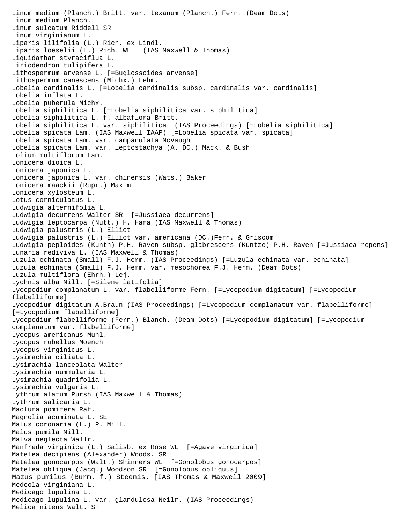Linum medium (Planch.) Britt. var. texanum (Planch.) Fern. (Deam Dots) Linum medium Planch. Linum sulcatum Riddell SR Linum virginianum L. Liparis lilifolia (L.) Rich. ex Lindl. Liparis loeselii (L.) Rich. WL (IAS Maxwell & Thomas) Liquidambar styraciflua L. Liriodendron tulipifera L. Lithospermum arvense L. [=Buglossoides arvense] Lithospermum canescens (Michx.) Lehm. Lobelia cardinalis L. [=Lobelia cardinalis subsp. cardinalis var. cardinalis] Lobelia inflata L. Lobelia puberula Michx. Lobelia siphilitica L. [=Lobelia siphilitica var. siphilitica] Lobelia siphilitica L. f. albaflora Britt. Lobelia siphilitica L. var. siphilitica (IAS Proceedings) [=Lobelia siphilitica] Lobelia spicata Lam. (IAS Maxwell IAAP) [=Lobelia spicata var. spicata] Lobelia spicata Lam. var. campanulata McVaugh Lobelia spicata Lam. var. leptostachya (A. DC.) Mack. & Bush Lolium multiflorum Lam. Lonicera dioica L. Lonicera japonica L. Lonicera japonica L. var. chinensis (Wats.) Baker Lonicera maackii (Rupr.) Maxim Lonicera xylosteum L. Lotus corniculatus L. Ludwigia alternifolia L. Ludwigia decurrens Walter SR [=Jussiaea decurrens] Ludwigia leptocarpa (Nutt.) H. Hara (IAS Maxwell & Thomas) Ludwigia palustris (L.) Elliot Ludwigia palustris (L.) Elliot var. americana (DC.)Fern. & Griscom Ludwigia peploides (Kunth) P.H. Raven subsp. glabrescens (Kuntze) P.H. Raven [=Jussiaea repens] Lunaria rediviva L. (IAS Maxwell & Thomas) Luzula echinata (Small) F.J. Herm. (IAS Proceedings) [=Luzula echinata var. echinata] Luzula echinata (Small) F.J. Herm. var. mesochorea F.J. Herm. (Deam Dots) Luzula multiflora (Ehrh.) Lej. Lychnis alba Mill. [=Silene latifolia] Lycopodium complanatum L. var. flabelliforme Fern. [=Lycopodium digitatum] [=Lycopodium flabelliforme] Lycopodium digitatum A.Braun (IAS Proceedings) [=Lycopodium complanatum var. flabelliforme] [=Lycopodium flabelliforme] Lycopodium flabelliforme (Fern.) Blanch. (Deam Dots) [=Lycopodium digitatum] [=Lycopodium complanatum var. flabelliforme] Lycopus americanus Muhl. Lycopus rubellus Moench Lycopus virginicus L. Lysimachia ciliata L. Lysimachia lanceolata Walter Lysimachia nummularia L. Lysimachia quadrifolia L. Lysimachia vulgaris L. Lythrum alatum Pursh (IAS Maxwell & Thomas) Lythrum salicaria L. Maclura pomifera Raf. Magnolia acuminata L. SE Malus coronaria (L.) P. Mill. Malus pumila Mill. Malva neglecta Wallr. Manfreda virginica (L.) Salisb. ex Rose WL [=Agave virginica] Matelea decipiens (Alexander) Woods. SR Matelea gonocarpos (Walt.) Shinners WL [=Gonolobus gonocarpos] Matelea obliqua (Jacq.) Woodson SR [=Gonolobus obliquus] Mazus pumilus (Burm. f.) Steenis. [IAS Thomas & Maxwell 2009] Medeola virginiana L. Medicago lupulina L. Medicago lupulina L. var. glandulosa Neilr. (IAS Proceedings) Melica nitens Walt. ST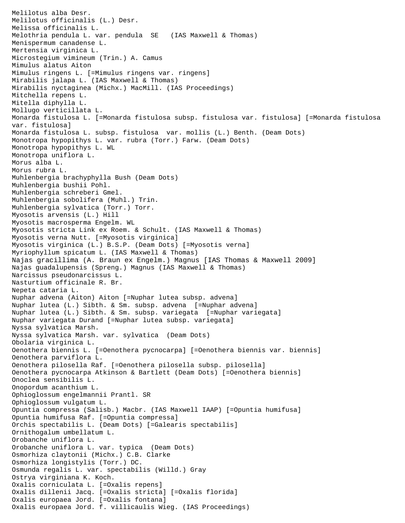Melilotus alba Desr. Melilotus officinalis (L.) Desr. Melissa officinalis L. Melothria pendula L. var. pendula SE (IAS Maxwell & Thomas) Menispermum canadense L. Mertensia virginica L. Microstegium vimineum (Trin.) A. Camus Mimulus alatus Aiton Mimulus ringens L. [=Mimulus ringens var. ringens] Mirabilis jalapa L. (IAS Maxwell & Thomas) Mirabilis nyctaginea (Michx.) MacMill. (IAS Proceedings) Mitchella repens L. Mitella diphylla L. Mollugo verticillata L. Monarda fistulosa L. [=Monarda fistulosa subsp. fistulosa var. fistulosa] [=Monarda fistulosa var. fistulosa] Monarda fistulosa L. subsp. fistulosa var. mollis (L.) Benth. (Deam Dots) Monotropa hypopithys L. var. rubra (Torr.) Farw. (Deam Dots) Monotropa hypopithys L. WL Monotropa uniflora L. Morus alba L. Morus rubra L. Muhlenbergia brachyphylla Bush (Deam Dots) Muhlenbergia bushii Pohl. Muhlenbergia schreberi Gmel. Muhlenbergia sobolifera (Muhl.) Trin. Muhlenbergia sylvatica (Torr.) Torr. Myosotis arvensis (L.) Hill Myosotis macrosperma Engelm. WL Myosotis stricta Link ex Roem. & Schult. (IAS Maxwell & Thomas) Myosotis verna Nutt. [=Myosotis virginica] Myosotis virginica (L.) B.S.P. (Deam Dots) [=Myosotis verna] Myriophyllum spicatum L. (IAS Maxwell & Thomas) Najas gracillima (A. Braun ex Engelm.) Magnus [IAS Thomas & Maxwell 2009] Najas guadalupensis (Spreng.) Magnus (IAS Maxwell & Thomas) Narcissus pseudonarcissus L. Nasturtium officinale R. Br. Nepeta cataria L. Nuphar advena (Aiton) Aiton [=Nuphar lutea subsp. advena] Nuphar lutea (L.) Sibth. & Sm. subsp. advena [=Nuphar advena] Nuphar lutea (L.) Sibth. & Sm. subsp. variegata [=Nuphar variegata] Nuphar variegata Durand [=Nuphar lutea subsp. variegata] Nyssa sylvatica Marsh. Nyssa sylvatica Marsh. var. sylvatica (Deam Dots) Obolaria virginica L. Oenothera biennis L. [=Oenothera pycnocarpa] [=Oenothera biennis var. biennis] Oenothera parviflora L. Oenothera pilosella Raf. [=Oenothera pilosella subsp. pilosella] Oenothera pycnocarpa Atkinson & Bartlett (Deam Dots) [=Oenothera biennis] Onoclea sensibilis L. Onopordum acanthium L. Ophioglossum engelmannii Prantl. SR Ophioglossum vulgatum L. Opuntia compressa (Salisb.) Macbr. (IAS Maxwell IAAP) [=Opuntia humifusa] Opuntia humifusa Raf. [=Opuntia compressa] Orchis spectabilis L. (Deam Dots) [=Galearis spectabilis] Ornithogalum umbellatum L. Orobanche uniflora L. Orobanche uniflora L. var. typica (Deam Dots) Osmorhiza claytonii (Michx.) C.B. Clarke Osmorhiza longistylis (Torr.) DC. Osmunda regalis L. var. spectabilis (Willd.) Gray Ostrya virginiana K. Koch. Oxalis corniculata L. [=Oxalis repens] Oxalis dillenii Jacq. [=Oxalis stricta] [=Oxalis florida] Oxalis europaea Jord. [=Oxalis fontana] Oxalis europaea Jord. f. villicaulis Wieg. (IAS Proceedings)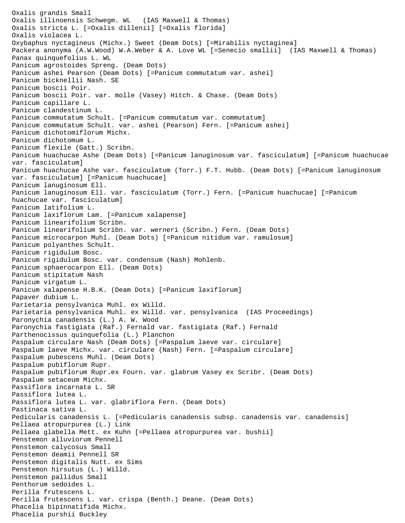Oxalis grandis Small Oxalis illinoensis Schwegm. WL (IAS Maxwell & Thomas) Oxalis stricta L. [=Oxalis dillenii] [=Oxalis florida] Oxalis violacea L. Oxybaphus nyctagineus (Michx.) Sweet (Deam Dots) [=Mirabilis nyctaginea] Packera anonyma (A.W.Wood) W.A.Weber & A. Love WL [=Senecio smallii] (IAS Maxwell & Thomas) Panax quinquefolius L. WL Panicum agrostoides Spreng. (Deam Dots) Panicum ashei Pearson (Deam Dots) [=Panicum commutatum var. ashei] Panicum bicknellii Nash. SE Panicum boscii Poir. Panicum boscii Poir. var. molle (Vasey) Hitch. & Chase. (Deam Dots) Panicum capillare L. Panicum clandestinum L. Panicum commutatum Schult. [=Panicum commutatum var. commutatum] Panicum commutatum Schult. var. ashei (Pearson) Fern. [=Panicum ashei] Panicum dichotomiflorum Michx. Panicum dichotomum L. Panicum flexile (Gatt.) Scribn. Panicum huachucae Ashe (Deam Dots) [=Panicum lanuginosum var. fasciculatum] [=Panicum huachucae var. fasciculatum] Panicum huachucae Ashe var. fasciculatum (Torr.) F.T. Hubb. (Deam Dots) [=Panicum lanuginosum var. fasciculatum] [=Panicum huachucae] Panicum lanuginosum Ell. Panicum lanuginosum Ell. var. fasciculatum (Torr.) Fern. [=Panicum huachucae] [=Panicum huachucae var. fasciculatum] Panicum latifolium L. Panicum laxiflorum Lam. [=Panicum xalapense] Panicum linearifolium Scribn. Panicum linearifolium Scribn. var. werneri (Scribn.) Fern. (Deam Dots) Panicum microcarpon Muhl. (Deam Dots) [=Panicum nitidum var. ramulosum] Panicum polyanthes Schult. Panicum rigidulum Bosc. Panicum rigidulum Bosc. var. condensum (Nash) Mohlenb. Panicum sphaerocarpon Ell. (Deam Dots) Panicum stipitatum Nash Panicum virgatum L. Panicum xalapense H.B.K. (Deam Dots) [=Panicum laxiflorum] Papaver dubium L. Parietaria pensylvanica Muhl. ex Willd. Parietaria pensylvanica Muhl. ex Willd. var. pensylvanica (IAS Proceedings) Paronychia canadensis (L.) A. W. Wood Paronychia fastigiata (Raf.) Fernald var. fastigiata (Raf.) Fernald Parthenocissus quinquefolia (L.) Planchon Paspalum circulare Nash (Deam Dots) [=Paspalum laeve var. circulare] Paspalum laeve Michx. var. circulare (Nash) Fern. [=Paspalum circulare] Paspalum pubescens Muhl. (Deam Dots) Paspalum pubiflorum Rupr. Paspalum pubiflorum Rupr.ex Fourn. var. glabrum Vasey ex Scribr. (Deam Dots) Paspalum setaceum Michx. Passiflora incarnata L. SR Passiflora lutea L. Passiflora lutea L. var. glabriflora Fern. (Deam Dots) Pastinaca sativa L. Pedicularis canadensis L. [=Pedicularis canadensis subsp. canadensis var. canadensis] Pellaea atropurpurea (L.) Link Pellaea glabella Mett. ex Kuhn [=Pellaea atropurpurea var. bushii] Penstemon alluviorum Pennell Penstemon calycosus Small Penstemon deamii Pennell SR Penstemon digitalis Nutt. ex Sims Penstemon hirsutus (L.) Willd. Penstemon pallidus Small Penthorum sedoides L. Perilla frutescens L. Perilla frutescens L. var. crispa (Benth.) Deane. (Deam Dots) Phacelia bipinnatifida Michx. Phacelia purshii Buckley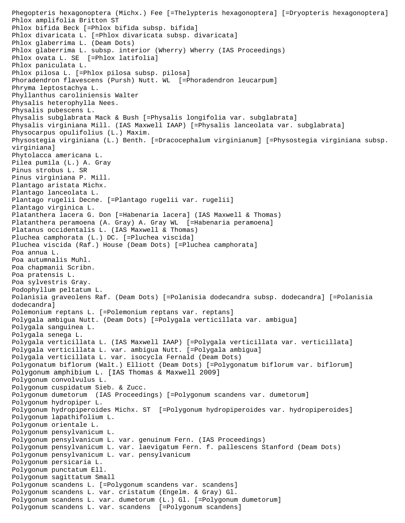```
Phegopteris hexagonoptera (Michx.) Fee [=Thelypteris hexagonoptera] [=Dryopteris hexagonoptera]
Phlox amplifolia Britton ST 
Phlox bifida Beck [=Phlox bifida subsp. bifida]
Phlox divaricata L. [=Phlox divaricata subsp. divaricata]
Phlox glaberrima L. (Deam Dots)
Phlox glaberrima L. subsp. interior (Wherry) Wherry (IAS Proceedings)
Phlox ovata L. SE [=Phlox latifolia]
Phlox paniculata L.
Phlox pilosa L. [=Phlox pilosa subsp. pilosa]
Phoradendron flavescens (Pursh) Nutt. WL [=Phoradendron leucarpum]
Phryma leptostachya L.
Phyllanthus caroliniensis Walter
Physalis heterophylla Nees.
Physalis pubescens L.
Physalis subglabrata Mack & Bush [=Physalis longifolia var. subglabrata]
Physalis virginiana Mill. (IAS Maxwell IAAP) [=Physalis lanceolata var. subglabrata]
Physocarpus opulifolius (L.) Maxim.
Physostegia virginiana (L.) Benth. [=Dracocephalum virginianum] [=Physostegia virginiana subsp. 
virginiana]
Phytolacca americana L.
Pilea pumila (L.) A. Gray
Pinus strobus L. SR 
Pinus virginiana P. Mill.
Plantago aristata Michx.
Plantago lanceolata L.
Plantago rugelii Decne. [=Plantago rugelii var. rugelii]
Plantago virginica L.
Platanthera lacera G. Don [=Habenaria lacera] (IAS Maxwell & Thomas)
Platanthera peramoena (A. Gray) A. Gray WL [=Habenaria peramoena]
Platanus occidentalis L. (IAS Maxwell & Thomas)
Pluchea camphorata (L.) DC. [=Pluchea viscida]
Pluchea viscida (Raf.) House (Deam Dots) [=Pluchea camphorata]
Poa annua L.
Poa autumnalis Muhl.
Poa chapmanii Scribn.
Poa pratensis L.
Poa sylvestris Gray.
Podophyllum peltatum L.
Polanisia graveolens Raf. (Deam Dots) [=Polanisia dodecandra subsp. dodecandra] [=Polanisia 
dodecandra]
Polemonium reptans L. [=Polemonium reptans var. reptans]
Polygala ambigua Nutt. (Deam Dots) [=Polygala verticillata var. ambigua]
Polygala sanguinea L.
Polygala senega L.
Polygala verticillata L. (IAS Maxwell IAAP) [=Polygala verticillata var. verticillata]
Polygala verticillata L. var. ambigua Nutt. [=Polygala ambigua]
Polygala verticillata L. var. isocycla Fernald (Deam Dots)
Polygonatum biflorum (Walt.) Elliott (Deam Dots) [=Polygonatum biflorum var. biflorum]
Polygonum amphibium L. [IAS Thomas & Maxwell 2009]
Polygonum convolvulus L.
Polygonum cuspidatum Sieb. & Zucc.
Polygonum dumetorum (IAS Proceedings) [=Polygonum scandens var. dumetorum]
Polygonum hydropiper L.
Polygonum hydropiperoides Michx. ST [=Polygonum hydropiperoides var. hydropiperoides]
Polygonum lapathifolium L.
Polygonum orientale L.
Polygonum pensylvanicum L.
Polygonum pensylvanicum L. var. genuinum Fern. (IAS Proceedings)
Polygonum pensylvanicum L. var. laevigatum Fern. f. pallescens Stanford (Deam Dots)
Polygonum pensylvanicum L. var. pensylvanicum
Polygonum persicaria L.
Polygonum punctatum Ell.
Polygonum sagittatum Small
Polygonum scandens L. [=Polygonum scandens var. scandens]
Polygonum scandens L. var. cristatum (Engelm. & Gray) Gl.
Polygonum scandens L. var. dumetorum (L.) Gl. [=Polygonum dumetorum]
Polygonum scandens L. var. scandens [=Polygonum scandens]
```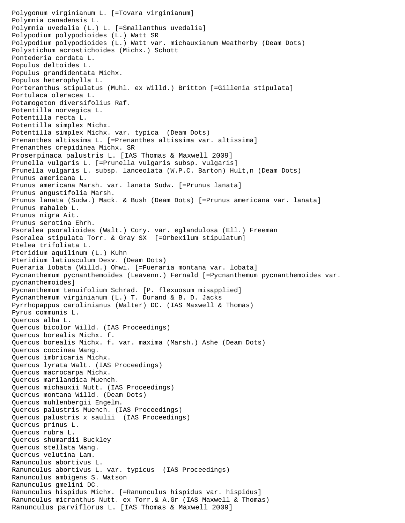Polygonum virginianum L. [=Tovara virginianum] Polymnia canadensis L. Polymnia uvedalia (L.) L. [=Smallanthus uvedalia] Polypodium polypodioides (L.) Watt SR Polypodium polypodioides (L.) Watt var. michauxianum Weatherby (Deam Dots) Polystichum acrostichoides (Michx.) Schott Pontederia cordata L. Populus deltoides L. Populus grandidentata Michx. Populus heterophylla L. Porteranthus stipulatus (Muhl. ex Willd.) Britton [=Gillenia stipulata] Portulaca oleracea L. Potamogeton diversifolius Raf. Potentilla norvegica L. Potentilla recta L. Potentilla simplex Michx. Potentilla simplex Michx. var. typica (Deam Dots) Prenanthes altissima L. [=Prenanthes altissima var. altissima] Prenanthes crepidinea Michx. SR Proserpinaca palustris L. [IAS Thomas & Maxwell 2009] Prunella vulgaris L. [=Prunella vulgaris subsp. vulgaris] Prunella vulgaris L. subsp. lanceolata (W.P.C. Barton) Hult, n (Deam Dots) Prunus americana L. Prunus americana Marsh. var. lanata Sudw. [=Prunus lanata] Prunus angustifolia Marsh. Prunus lanata (Sudw.) Mack. & Bush (Deam Dots) [=Prunus americana var. lanata] Prunus mahaleb L. Prunus nigra Ait. Prunus serotina Ehrh. Psoralea psoralioides (Walt.) Cory. var. eglandulosa (Ell.) Freeman Psoralea stipulata Torr. & Gray SX [=Orbexilum stipulatum] Ptelea trifoliata L. Pteridium aquilinum (L.) Kuhn Pteridium latiusculum Desv. (Deam Dots) Pueraria lobata (Willd.) Ohwi. [=Pueraria montana var. lobata] Pycnanthemum pycnanthemoides (Leavenn.) Fernald [=Pycnanthemum pycnanthemoides var. pycnanthemoides] Pycnanthemum tenuifolium Schrad. [P. flexuosum misapplied] Pycnanthemum virginianum (L.) T. Durand & B. D. Jacks Pyrrhopappus carolinianus (Walter) DC. (IAS Maxwell & Thomas) Pyrus communis L. Quercus alba L. Quercus bicolor Willd. (IAS Proceedings) Quercus borealis Michx. f. Quercus borealis Michx. f. var. maxima (Marsh.) Ashe (Deam Dots) Quercus coccinea Wang. Quercus imbricaria Michx. Quercus lyrata Walt. (IAS Proceedings) Quercus macrocarpa Michx. Quercus marilandica Muench. Quercus michauxii Nutt. (IAS Proceedings) Quercus montana Willd. (Deam Dots) Quercus muhlenbergii Engelm. Quercus palustris Muench. (IAS Proceedings) Quercus palustris x saulii (IAS Proceedings) Quercus prinus L. Quercus rubra L. Quercus shumardii Buckley Quercus stellata Wang. Quercus velutina Lam. Ranunculus abortivus L. Ranunculus abortivus L. var. typicus (IAS Proceedings) Ranunculus ambigens S. Watson Ranunculus gmelini DC. Ranunculus hispidus Michx. [=Ranunculus hispidus var. hispidus] Ranunculus micranthus Nutt. ex Torr.& A.Gr (IAS Maxwell & Thomas) Ranunculus parviflorus L. [IAS Thomas & Maxwell 2009]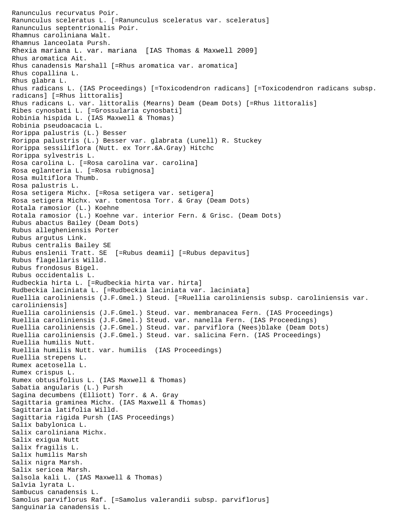Ranunculus recurvatus Poir. Ranunculus sceleratus L. [=Ranunculus sceleratus var. sceleratus] Ranunculus septentrionalis Poir. Rhamnus caroliniana Walt. Rhamnus lanceolata Pursh. Rhexia mariana L. var. mariana [IAS Thomas & Maxwell 2009] Rhus aromatica Ait. Rhus canadensis Marshall [=Rhus aromatica var. aromatica] Rhus copallina L. Rhus glabra L. Rhus radicans L. (IAS Proceedings) [=Toxicodendron radicans] [=Toxicodendron radicans subsp. radicans] [=Rhus littoralis] Rhus radicans L. var. littoralis (Mearns) Deam (Deam Dots) [=Rhus littoralis] Ribes cynosbati L. [=Grossularia cynosbati] Robinia hispida L. (IAS Maxwell & Thomas) Robinia pseudoacacia L. Rorippa palustris (L.) Besser Rorippa palustris (L.) Besser var. glabrata (Lunell) R. Stuckey Rorippa sessiliflora (Nutt. ex Torr.&A.Gray) Hitchc Rorippa sylvestris L. Rosa carolina L. [=Rosa carolina var. carolina] Rosa eglanteria L. [=Rosa rubignosa] Rosa multiflora Thumb. Rosa palustris L. Rosa setigera Michx. [=Rosa setigera var. setigera] Rosa setigera Michx. var. tomentosa Torr. & Gray (Deam Dots) Rotala ramosior (L.) Koehne Rotala ramosior (L.) Koehne var. interior Fern. & Grisc. (Deam Dots) Rubus abactus Bailey (Deam Dots) Rubus allegheniensis Porter Rubus argutus Link. Rubus centralis Bailey SE Rubus enslenii Tratt. SE [=Rubus deamii] [=Rubus depavitus] Rubus flagellaris Willd. Rubus frondosus Bigel. Rubus occidentalis L. Rudbeckia hirta L. [=Rudbeckia hirta var. hirta] Rudbeckia laciniata L. [=Rudbeckia laciniata var. laciniata] Ruellia caroliniensis (J.F.Gmel.) Steud. [=Ruellia caroliniensis subsp. caroliniensis var. caroliniensis] Ruellia caroliniensis (J.F.Gmel.) Steud. var. membranacea Fern. (IAS Proceedings) Ruellia caroliniensis (J.F.Gmel.) Steud. var. nanella Fern. (IAS Proceedings) Ruellia caroliniensis (J.F.Gmel.) Steud. var. parviflora (Nees)blake (Deam Dots) Ruellia caroliniensis (J.F.Gmel.) Steud. var. salicina Fern. (IAS Proceedings) Ruellia humilis Nutt. Ruellia humilis Nutt. var. humilis (IAS Proceedings) Ruellia strepens L. Rumex acetosella L. Rumex crispus L. Rumex obtusifolius L. (IAS Maxwell & Thomas) Sabatia angularis (L.) Pursh Sagina decumbens (Elliott) Torr. & A. Gray Sagittaria graminea Michx. (IAS Maxwell & Thomas) Sagittaria latifolia Willd. Sagittaria rigida Pursh (IAS Proceedings) Salix babylonica L. Salix caroliniana Michx. Salix exigua Nutt Salix fragilis L. Salix humilis Marsh Salix nigra Marsh. Salix sericea Marsh. Salsola kali L. (IAS Maxwell & Thomas) Salvia lyrata L. Sambucus canadensis L. Samolus parviflorus Raf. [=Samolus valerandii subsp. parviflorus] Sanguinaria canadensis L.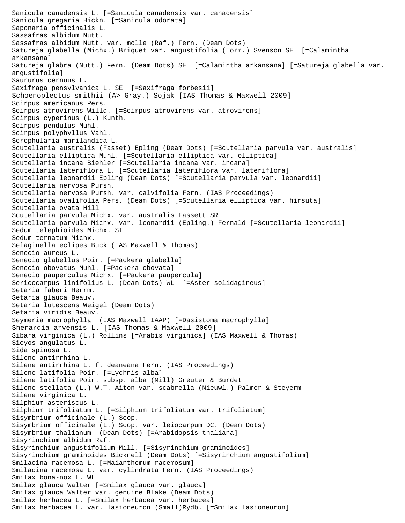Sanicula canadensis L. [=Sanicula canadensis var. canadensis] Sanicula gregaria Bickn. [=Sanicula odorata] Saponaria officinalis L. Sassafras albidum Nutt. Sassafras albidum Nutt. var. molle (Raf.) Fern. (Deam Dots) Satureja glabella (Michx.) Briquet var. angustifolia (Torr.) Svenson SE [=Calamintha arkansana] Satureja glabra (Nutt.) Fern. (Deam Dots) SE [=Calamintha arkansana] [=Satureja glabella var. angustifolia] Saururus cernuus L. Saxifraga pensylvanica L. SE [=Saxifraga forbesii] Schoenoplectus smithii (A> Gray.) Sojak [IAS Thomas & Maxwell 2009] Scirpus americanus Pers. Scirpus atrovirens Willd. [=Scirpus atrovirens var. atrovirens] Scirpus cyperinus (L.) Kunth. Scirpus pendulus Muhl. Scirpus polyphyllus Vahl. Scrophularia marilandica L. Scutellaria australis (Fasset) Epling (Deam Dots) [=Scutellaria parvula var. australis] Scutellaria elliptica Muhl. [=Scutellaria elliptica var. elliptica] Scutellaria incana Biehler [=Scutellaria incana var. incana] Scutellaria lateriflora L. [=Scutellaria lateriflora var. lateriflora] Scutellaria leonardii Epling (Deam Dots) [=Scutellaria parvula var. leonardii] Scutellaria nervosa Pursh. Scutellaria nervosa Pursh. var. calvifolia Fern. (IAS Proceedings) Scutellaria ovalifolia Pers. (Deam Dots) [=Scutellaria elliptica var. hirsuta] Scutellaria ovata Hill Scutellaria parvula Michx. var. australis Fassett SR Scutellaria parvula Michx. var. leonardii (Epling.) Fernald [=Scutellaria leonardii] Sedum telephioides Michx. ST Sedum ternatum Michx. Selaginella eclipes Buck (IAS Maxwell & Thomas) Senecio aureus L. Senecio glabellus Poir. [=Packera glabella] Senecio obovatus Muhl. [=Packera obovata] Senecio pauperculus Michx. [=Packera paupercula] Sericocarpus linifolius L. (Deam Dots) WL [=Aster solidagineus] Setaria faberi Herrm. Setaria glauca Beauv. Setaria lutescens Weigel (Deam Dots) Setaria viridis Beauv. Seymeria macrophylla (IAS Maxwell IAAP) [=Dasistoma macrophylla] Sherardia arvensis L. [IAS Thomas & Maxwell 2009] Sibara virginica (L.) Rollins [=Arabis virginica] (IAS Maxwell & Thomas) Sicyos angulatus L. Sida spinosa L. Silene antirrhina L. Silene antirrhina L. f. deaneana Fern. (IAS Proceedings) Silene latifolia Poir. [=Lychnis alba] Silene latifolia Poir. subsp. alba (Mill) Greuter & Burdet Silene stellata (L.) W.T. Aiton var. scabrella (Nieuwl.) Palmer & Steyerm Silene virginica L. Silphium asteriscus L. Silphium trifoliatum L. [=Silphium trifoliatum var. trifoliatum] Sisymbrium officinale (L.) Scop. Sisymbrium officinale (L.) Scop. var. leiocarpum DC. (Deam Dots) Sisymbrium thalianum (Deam Dots) [=Arabidopsis thaliana] Sisyrinchium albidum Raf. Sisyrinchium angustifolium Mill. [=Sisyrinchium graminoides] Sisyrinchium graminoides Bicknell (Deam Dots) [=Sisyrinchium angustifolium] Smilacina racemosa L. [=Maianthemum racemosum] Smilacina racemosa L. var. cylindrata Fern. (IAS Proceedings) Smilax bona-nox L. WL Smilax glauca Walter [=Smilax glauca var. glauca] Smilax glauca Walter var. genuine Blake (Deam Dots) Smilax herbacea L. [=Smilax herbacea var. herbacea] Smilax herbacea L. var. lasioneuron (Small)Rydb. [=Smilax lasioneuron]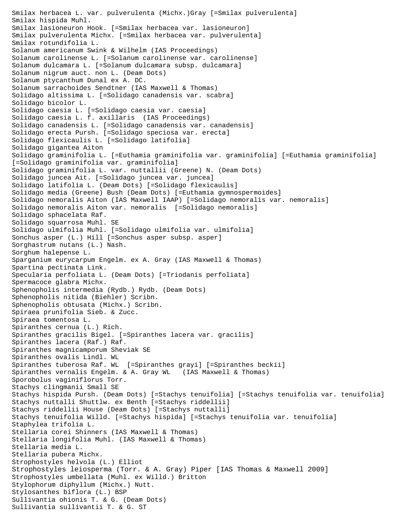Smilax herbacea L. var. pulverulenta (Michx.)Gray [=Smilax pulverulenta] Smilax hispida Muhl. Smilax lasioneuron Hook. [=Smilax herbacea var. lasioneuron] Smilax pulverulenta Michx. [=Smilax herbacea var. pulverulenta] Smilax rotundifolia L. Solanum americanum Swink & Wilhelm (IAS Proceedings) Solanum carolinense L. [=Solanum carolinense var. carolinense] Solanum dulcamara L. [=Solanum dulcamara subsp. dulcamara] Solanum nigrum auct. non L. (Deam Dots) Solanum ptycanthum Dunal ex A. DC. Solanum sarrachoides Sendtner (IAS Maxwell & Thomas) Solidago altissima L. [=Solidago canadensis var. scabra] Solidago bicolor L. Solidago caesia L. [=Solidago caesia var. caesia] Solidago caesia L. f. axillaris (IAS Proceedings) Solidago canadensis L. [=Solidago canadensis var. canadensis] Solidago erecta Pursh. [=Solidago speciosa var. erecta] Solidago flexicaulis L. [=Solidago latifolia] Solidago gigantea Aiton Solidago graminifolia L. [=Euthamia graminifolia var. graminifolia] [=Euthamia graminifolia] [=Solidago graminifolia var. graminifolia] Solidago graminifolia L. var. nuttallii (Greene) N. (Deam Dots) Solidago juncea Ait. [=Solidago juncea var. juncea] Solidago latifolia L. (Deam Dots) [=Solidago flexicaulis] Solidago media (Greene) Bush (Deam Dots) [=Euthamia gymnospermoides] Solidago nemoralis Aiton (IAS Maxwell IAAP) [=Solidago nemoralis var. nemoralis] Solidago nemoralis Aiton var. nemoralis [=Solidago nemoralis] Solidago sphacelata Raf. Solidago squarrosa Muhl. SE Solidago ulmifolia Muhl. [=Solidago ulmifolia var. ulmifolia] Sonchus asper (L.) Hill [=Sonchus asper subsp. asper] Sorghastrum nutans (L.) Nash. Sorghum halepense L. Sparganium eurycarpum Engelm. ex A. Gray (IAS Maxwell & Thomas) Spartina pectinata Link. Specularia perfoliata L. (Deam Dots) [=Triodanis perfoliata] Spermacoce glabra Michx. Sphenopholis intermedia (Rydb.) Rydb. (Deam Dots) Sphenopholis nitida (Biehler) Scribn. Sphenopholis obtusata (Michx.) Scribn. Spiraea prunifolia Sieb. & Zucc. Spiraea tomentosa L. Spiranthes cernua (L.) Rich. Spiranthes gracilis Bigel. [=Spiranthes lacera var. gracilis] Spiranthes lacera (Raf.) Raf. Spiranthes magnicamporum Sheviak SE Spiranthes ovalis Lindl. WL Spiranthes tuberosa Raf. WL [=Spiranthes grayi] [=Spiranthes beckii] Spiranthes vernalis Engelm. & A. Gray WL (IAS Maxwell & Thomas) Sporobolus vaginiflorus Torr. Stachys clingmanii Small SE Stachys hispida Pursh. (Deam Dots) [=Stachys tenuifolia] [=Stachys tenuifolia var. tenuifolia] Stachys nuttalli Shuttlw. ex Benth [=Stachys riddellii] Stachys riddellii House (Deam Dots) [=Stachys nuttalli] Stachys tenuifolia Willd. [=Stachys hispida] [=Stachys tenuifolia var. tenuifolia] Staphylea trifolia L. Stellaria corei Shinners (IAS Maxwell & Thomas) Stellaria longifolia Muhl. (IAS Maxwell & Thomas) Stellaria media L. Stellaria pubera Michx. Strophostyles helvola (L.) Elliot Strophostyles leiosperma (Torr. & A. Gray) Piper [IAS Thomas & Maxwell 2009] Strophostyles umbellata (Muhl. ex Willd.) Britton Stylophorum diphyllum (Michx.) Nutt. Stylosanthes biflora (L.) BSP Sullivantia ohionis T. & G. (Deam Dots) Sullivantia sullivantii T. & G. ST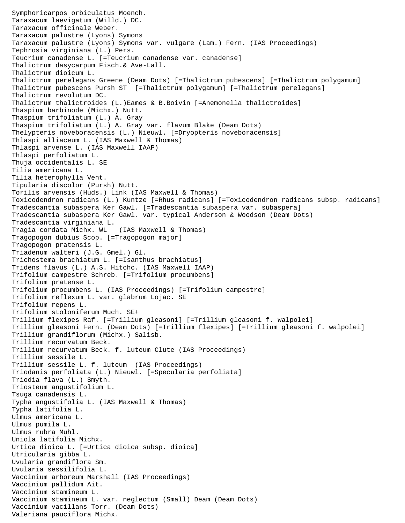```
Symphoricarpos orbiculatus Moench.
Taraxacum laevigatum (Willd.) DC.
Taraxacum officinale Weber.
Taraxacum palustre (Lyons) Symons
Taraxacum palustre (Lyons) Symons var. vulgare (Lam.) Fern. (IAS Proceedings)
Tephrosia virginiana (L.) Pers.
Teucrium canadense L. [=Teucrium canadense var. canadense]
Thalictrum dasycarpum Fisch.& Ave-Lall.
Thalictrum dioicum L.
Thalictrum perelegans Greene (Deam Dots) [=Thalictrum pubescens] [=Thalictrum polygamum]
Thalictrum pubescens Pursh ST [=Thalictrum polygamum] [=Thalictrum perelegans]
Thalictrum revolutum DC.
Thalictrum thalictroides (L.)Eames & B.Boivin [=Anemonella thalictroides]
Thaspium barbinode (Michx.) Nutt.
Thaspium trifoliatum (L.) A. Gray
Thaspium trifoliatum (L.) A. Gray var. flavum Blake (Deam Dots)
Thelypteris noveboracensis (L.) Nieuwl. [=Dryopteris noveboracensis]
Thlaspi alliaceum L. (IAS Maxwell & Thomas)
Thlaspi arvense L. (IAS Maxwell IAAP)
Thlaspi perfoliatum L.
Thuja occidentalis L. SE
Tilia americana L.
Tilia heterophylla Vent.
Tipularia discolor (Pursh) Nutt.
Torilis arvensis (Huds.) Link (IAS Maxwell & Thomas)
Toxicodendron radicans (L.) Kuntze [=Rhus radicans] [=Toxicodendron radicans subsp. radicans]
Tradescantia subaspera Ker Gawl. [=Tradescantia subaspera var. subaspera]
Tradescantia subaspera Ker Gawl. var. typical Anderson & Woodson (Deam Dots)
Tradescantia virginiana L.
Tragia cordata Michx. WL (IAS Maxwell & Thomas)
Tragopogon dubius Scop. [=Tragopogon major]
Tragopogon pratensis L.
Triadenum walteri (J.G. Gmel.) Gl.
Trichostema brachiatum L. [=Isanthus brachiatus]
Tridens flavus (L.) A.S. Hitchc. (IAS Maxwell IAAP)
Trifolium campestre Schreb. [=Trifolium procumbens]
Trifolium pratense L.
Trifolium procumbens L. (IAS Proceedings) [=Trifolium campestre]
Trifolium reflexum L. var. glabrum Lojac. SE
Trifolium repens L.
Trifolium stoloniferum Much. SE+
Trillium flexipes Raf. [=Trillium gleasoni] [=Trillium gleasoni f. walpolei]
Trillium gleasoni Fern. (Deam Dots) [=Trillium flexipes] [=Trillium gleasoni f. walpolei]
Trillium grandiflorum (Michx.) Salisb.
Trillium recurvatum Beck.
Trillium recurvatum Beck. f. luteum Clute (IAS Proceedings)
Trillium sessile L.
Trillium sessile L. f. luteum (IAS Proceedings)
Triodanis perfoliata (L.) Nieuwl. [=Specularia perfoliata]
Triodia flava (L.) Smyth.
Triosteum angustifolium L.
Tsuga canadensis L.
Typha angustifolia L. (IAS Maxwell & Thomas)
Typha latifolia L.
Ulmus americana L.
Ulmus pumila L.
Ulmus rubra Muhl.
Uniola latifolia Michx.
Urtica dioica L. [=Urtica dioica subsp. dioica]
Utricularia gibba L.
Uvularia grandiflora Sm.
Uvularia sessilifolia L.
Vaccinium arboreum Marshall (IAS Proceedings)
Vaccinium pallidum Ait.
Vaccinium stamineum L.
Vaccinium stamineum L. var. neglectum (Small) Deam (Deam Dots)
Vaccinium vacillans Torr. (Deam Dots)
Valeriana pauciflora Michx.
```